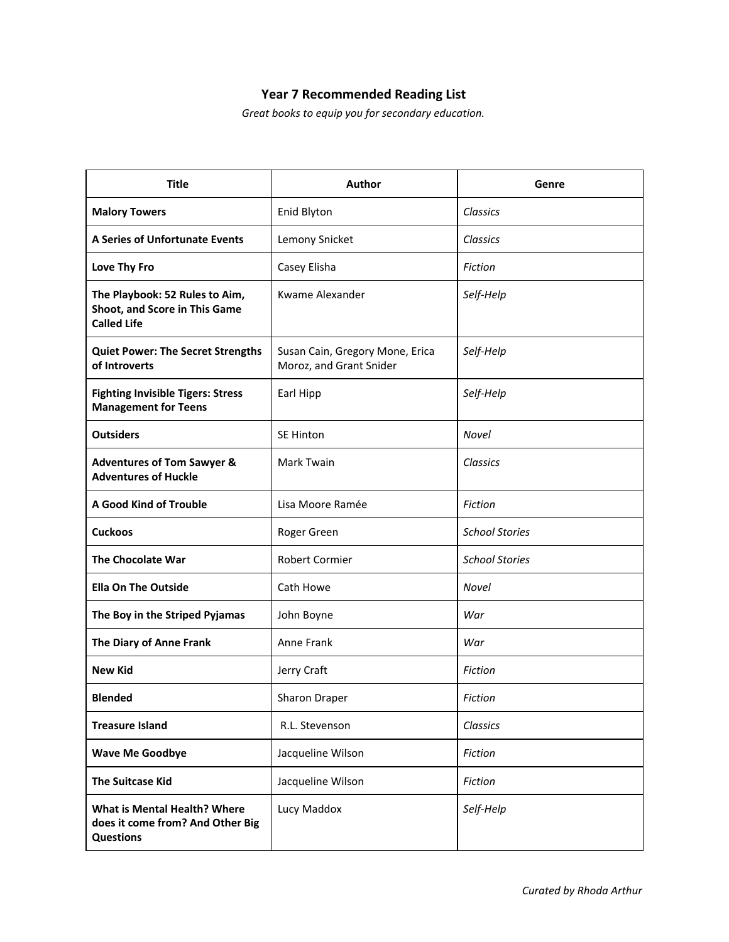## **Year 7 Recommended Reading List**

*Great books to equip you for secondary education.*

| <b>Title</b>                                                                                | Author                                                     | Genre                 |
|---------------------------------------------------------------------------------------------|------------------------------------------------------------|-----------------------|
| <b>Malory Towers</b>                                                                        | Enid Blyton                                                | Classics              |
| A Series of Unfortunate Events                                                              | Lemony Snicket                                             | Classics              |
| Love Thy Fro                                                                                | Casey Elisha                                               | <b>Fiction</b>        |
| The Playbook: 52 Rules to Aim,<br>Shoot, and Score in This Game<br><b>Called Life</b>       | Kwame Alexander                                            | Self-Help             |
| <b>Quiet Power: The Secret Strengths</b><br>of Introverts                                   | Susan Cain, Gregory Mone, Erica<br>Moroz, and Grant Snider | Self-Help             |
| <b>Fighting Invisible Tigers: Stress</b><br><b>Management for Teens</b>                     | Earl Hipp                                                  | Self-Help             |
| <b>Outsiders</b>                                                                            | <b>SE Hinton</b>                                           | <b>Novel</b>          |
| <b>Adventures of Tom Sawyer &amp;</b><br><b>Adventures of Huckle</b>                        | Mark Twain                                                 | Classics              |
| A Good Kind of Trouble                                                                      | Lisa Moore Ramée                                           | <b>Fiction</b>        |
| <b>Cuckoos</b>                                                                              | Roger Green                                                | <b>School Stories</b> |
| <b>The Chocolate War</b>                                                                    | <b>Robert Cormier</b>                                      | <b>School Stories</b> |
| <b>Ella On The Outside</b>                                                                  | Cath Howe                                                  | <b>Novel</b>          |
| The Boy in the Striped Pyjamas                                                              | John Boyne                                                 | War                   |
| The Diary of Anne Frank                                                                     | Anne Frank                                                 | War                   |
| <b>New Kid</b>                                                                              | Jerry Craft                                                | <b>Fiction</b>        |
| <b>Blended</b>                                                                              | Sharon Draper                                              | Fiction               |
| <b>Treasure Island</b>                                                                      | R.L. Stevenson                                             | Classics              |
| <b>Wave Me Goodbye</b>                                                                      | Jacqueline Wilson                                          | Fiction               |
| <b>The Suitcase Kid</b>                                                                     | Jacqueline Wilson                                          | Fiction               |
| <b>What is Mental Health? Where</b><br>does it come from? And Other Big<br><b>Questions</b> | Lucy Maddox                                                | Self-Help             |